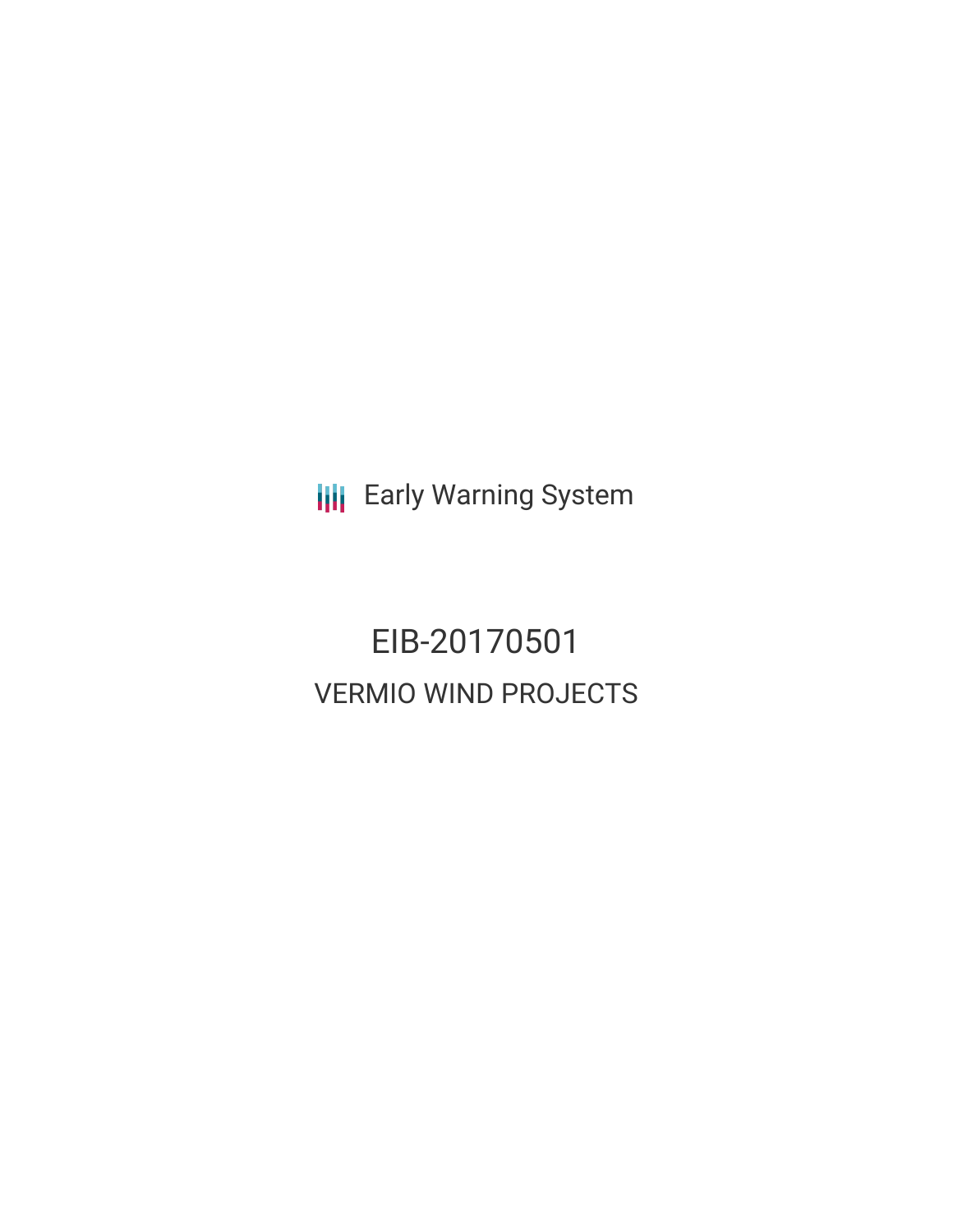**III** Early Warning System

EIB-20170501 VERMIO WIND PROJECTS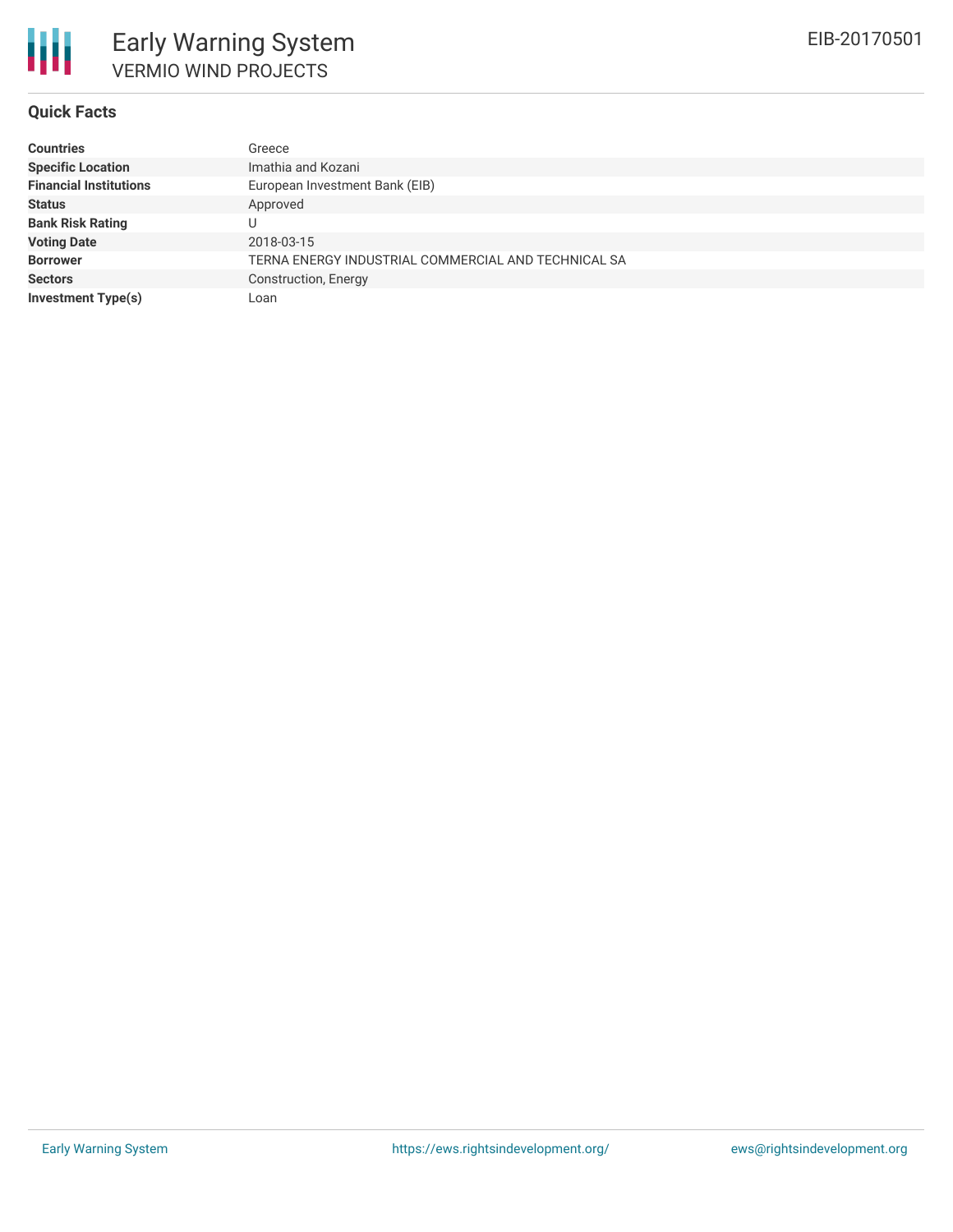

### **Quick Facts**

| <b>Countries</b>              | Greece                                              |
|-------------------------------|-----------------------------------------------------|
| <b>Specific Location</b>      | Imathia and Kozani                                  |
| <b>Financial Institutions</b> | European Investment Bank (EIB)                      |
| <b>Status</b>                 | Approved                                            |
| <b>Bank Risk Rating</b>       |                                                     |
| <b>Voting Date</b>            | 2018-03-15                                          |
| <b>Borrower</b>               | TERNA ENERGY INDUSTRIAL COMMERCIAL AND TECHNICAL SA |
| <b>Sectors</b>                | Construction, Energy                                |
| <b>Investment Type(s)</b>     | Loan                                                |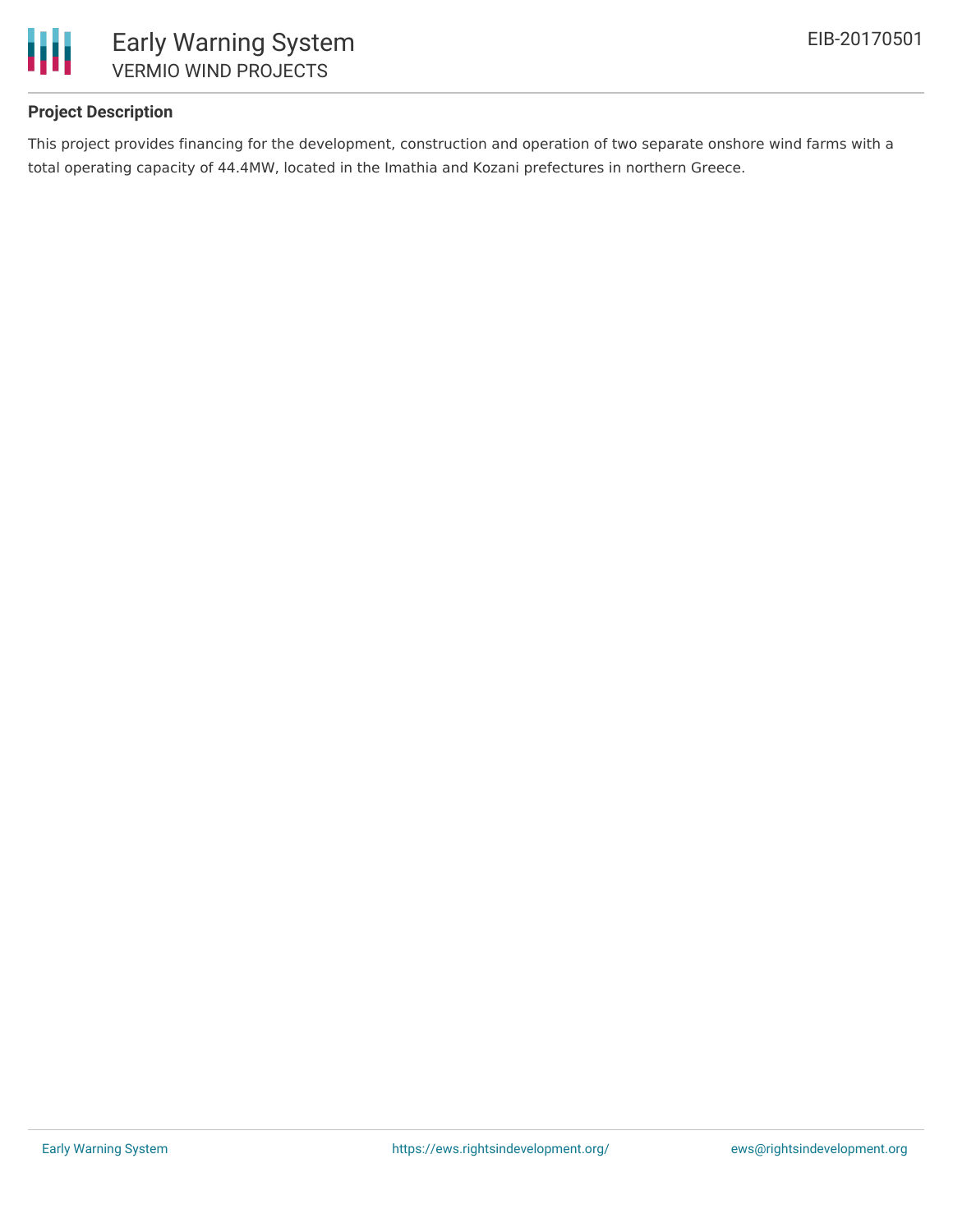

## **Project Description**

This project provides financing for the development, construction and operation of two separate onshore wind farms with a total operating capacity of 44.4MW, located in the Imathia and Kozani prefectures in northern Greece.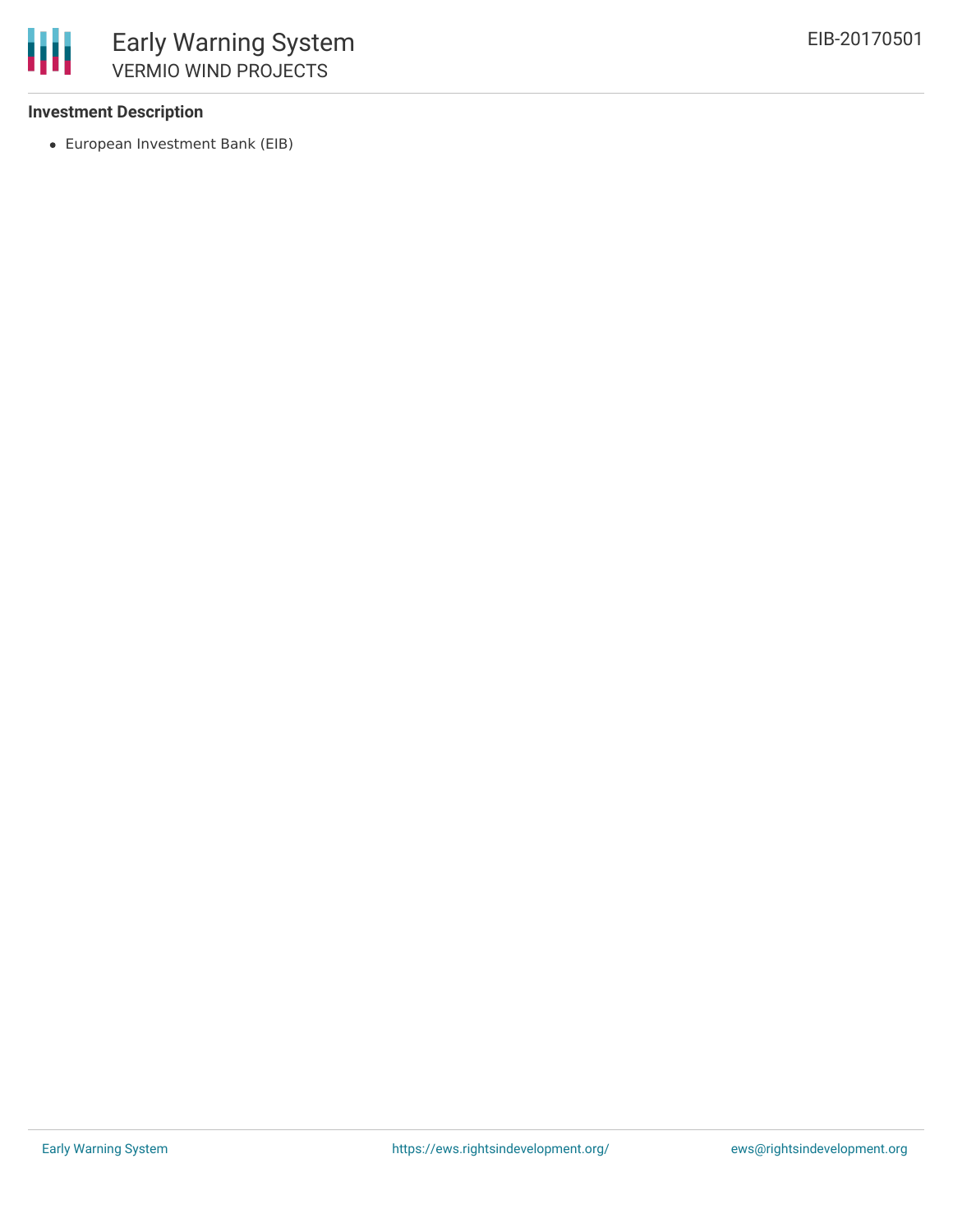### **Investment Description**

冊

European Investment Bank (EIB)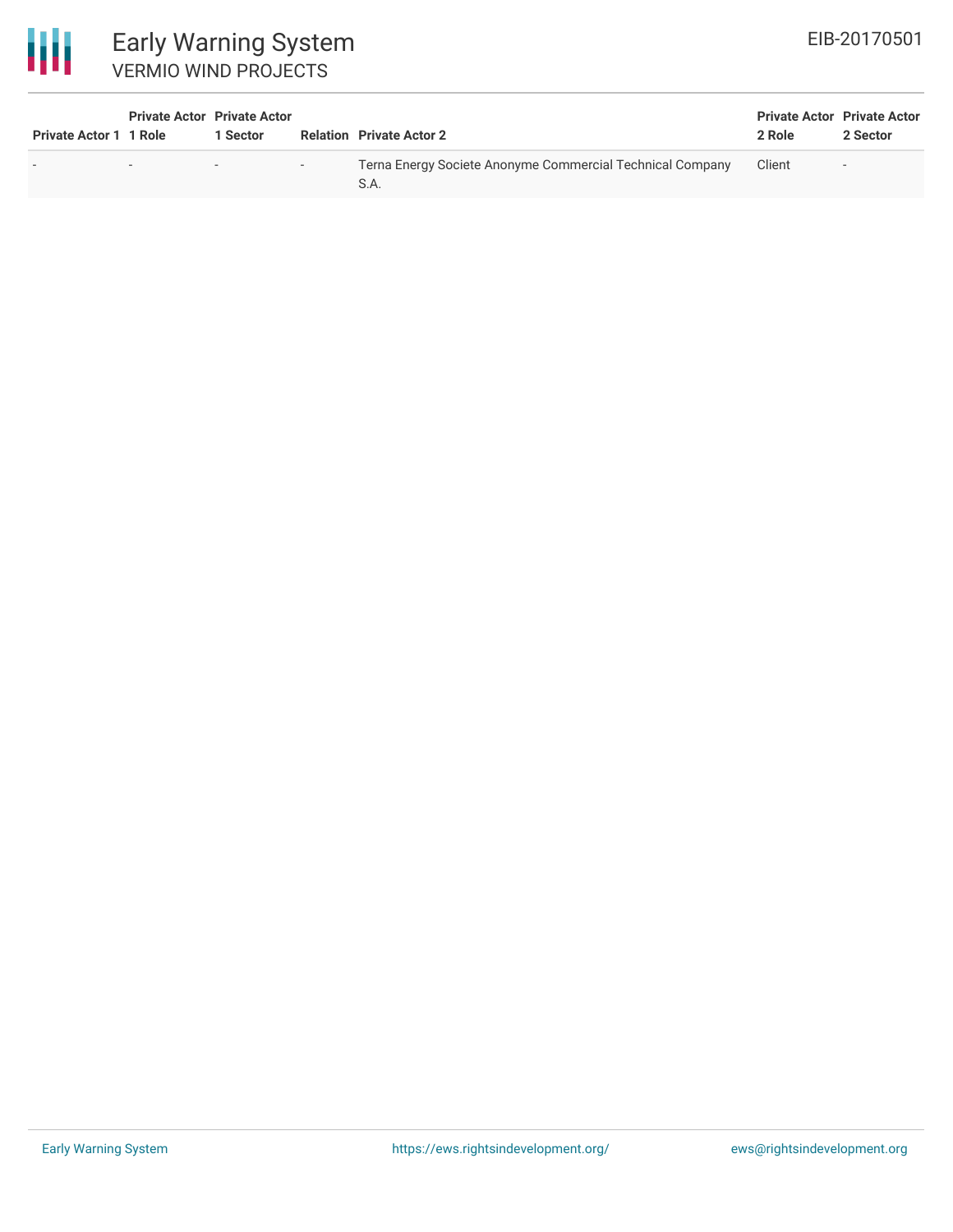# 冊

| <b>Early Warning System</b> |  |  |  |  |
|-----------------------------|--|--|--|--|
| <b>VERMIO WIND PROJECTS</b> |  |  |  |  |

| <b>Private Actor 1 1 Role</b> | <b>Private Actor Private Actor</b> | 1 Sector |        | <b>Relation Private Actor 2</b>                                   | <b>Private Actor Private Actor</b><br>2 Role | 2 Sector |
|-------------------------------|------------------------------------|----------|--------|-------------------------------------------------------------------|----------------------------------------------|----------|
|                               | $\overline{\phantom{0}}$           | $\sim$   | $\sim$ | Terna Energy Societe Anonyme Commercial Technical Company<br>S.A. | Client                                       | $\sim$   |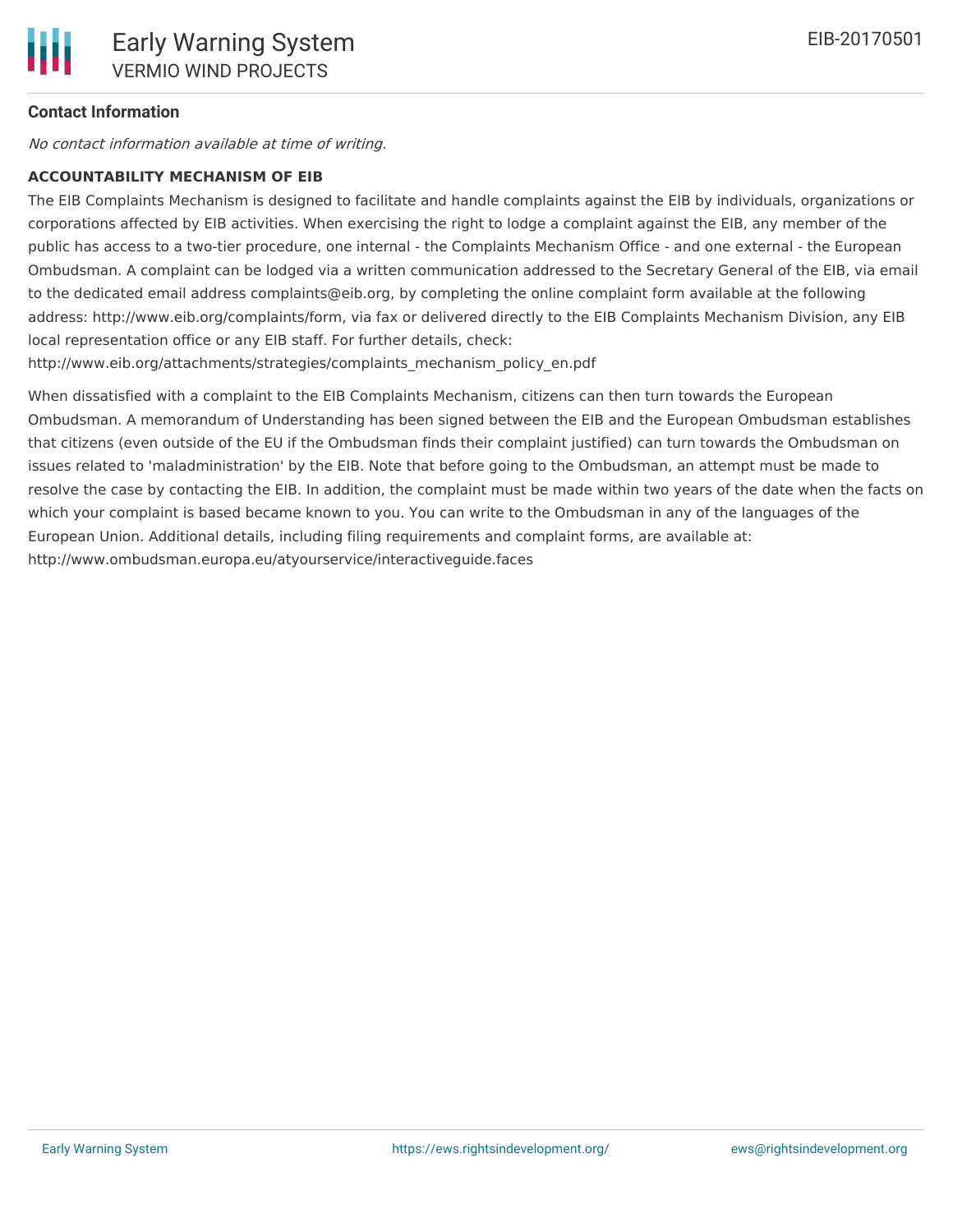## **Contact Information**

No contact information available at time of writing.

## **ACCOUNTABILITY MECHANISM OF EIB**

The EIB Complaints Mechanism is designed to facilitate and handle complaints against the EIB by individuals, organizations or corporations affected by EIB activities. When exercising the right to lodge a complaint against the EIB, any member of the public has access to a two-tier procedure, one internal - the Complaints Mechanism Office - and one external - the European Ombudsman. A complaint can be lodged via a written communication addressed to the Secretary General of the EIB, via email to the dedicated email address complaints@eib.org, by completing the online complaint form available at the following address: http://www.eib.org/complaints/form, via fax or delivered directly to the EIB Complaints Mechanism Division, any EIB local representation office or any EIB staff. For further details, check:

http://www.eib.org/attachments/strategies/complaints\_mechanism\_policy\_en.pdf

When dissatisfied with a complaint to the EIB Complaints Mechanism, citizens can then turn towards the European Ombudsman. A memorandum of Understanding has been signed between the EIB and the European Ombudsman establishes that citizens (even outside of the EU if the Ombudsman finds their complaint justified) can turn towards the Ombudsman on issues related to 'maladministration' by the EIB. Note that before going to the Ombudsman, an attempt must be made to resolve the case by contacting the EIB. In addition, the complaint must be made within two years of the date when the facts on which your complaint is based became known to you. You can write to the Ombudsman in any of the languages of the European Union. Additional details, including filing requirements and complaint forms, are available at: http://www.ombudsman.europa.eu/atyourservice/interactiveguide.faces